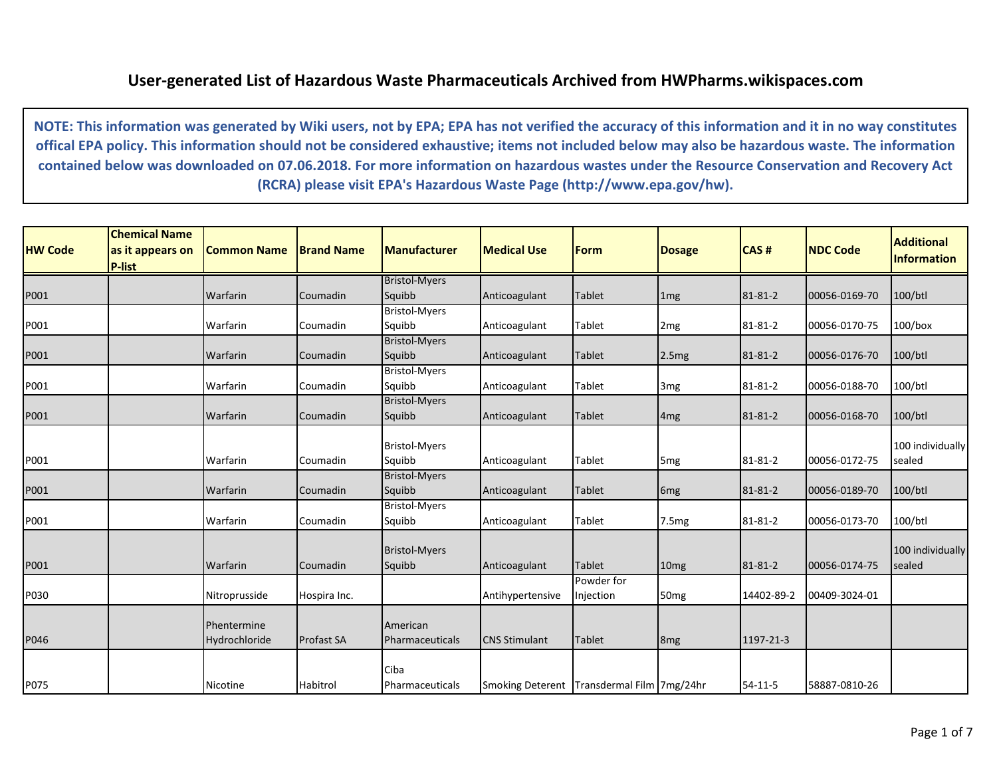## **User-generated List of Hazardous Waste Pharmaceuticals Archived from HWPharms.wikispaces.com**

**NOTE: This information was generated by Wiki users, not by EPA; EPA has not verified the accuracy of this information and it in no way constitutes offical EPA policy. This information should not be considered exhaustive; items not included below may also be hazardous waste. The information contained below was downloaded on 07.06.2018. For more information on hazardous wastes under the Resource Conservation and Recovery Act (RCRA) please visit EPA's Hazardous Waste Page (http://www.epa.gov/hw).**

| <b>HW Code</b> | <b>Chemical Name</b><br>as it appears on<br><b>P-list</b> | <b>Common Name</b>           | <b>Brand Name</b> | <b>Manufacturer</b>            | <b>Medical Use</b>                         | <b>Form</b>             | <b>Dosage</b>    | <b>CAS#</b>   | <b>NDC Code</b> | <b>Additional</b><br><b>Information</b> |
|----------------|-----------------------------------------------------------|------------------------------|-------------------|--------------------------------|--------------------------------------------|-------------------------|------------------|---------------|-----------------|-----------------------------------------|
|                |                                                           |                              |                   | <b>Bristol-Myers</b>           |                                            |                         |                  |               |                 |                                         |
| P001           |                                                           | Warfarin                     | Coumadin          | Squibb                         | Anticoagulant                              | <b>Tablet</b>           | 1 <sub>mg</sub>  | 81-81-2       | 00056-0169-70   | 100/btl                                 |
| P001           |                                                           | Warfarin                     | Coumadin          | <b>Bristol-Myers</b><br>Squibb | Anticoagulant                              | Tablet                  | 2 <sub>mg</sub>  | 81-81-2       | 00056-0170-75   | $100/b$ ox                              |
|                |                                                           |                              |                   | <b>Bristol-Myers</b>           |                                            |                         |                  |               |                 |                                         |
| P001           |                                                           | Warfarin                     | Coumadin          | Squibb                         | Anticoagulant                              | <b>Tablet</b>           | 2.5mg            | 81-81-2       | 00056-0176-70   | 100/btl                                 |
|                |                                                           |                              |                   | <b>Bristol-Myers</b>           |                                            |                         |                  |               |                 |                                         |
| P001           |                                                           | Warfarin                     | Coumadin          | Squibb                         | Anticoagulant                              | <b>Tablet</b>           | 3 <sub>mg</sub>  | 81-81-2       | 00056-0188-70   | 100/btl                                 |
|                |                                                           |                              |                   | <b>Bristol-Myers</b>           |                                            |                         |                  |               |                 |                                         |
| P001           |                                                           | Warfarin                     | Coumadin          | Squibb                         | Anticoagulant                              | <b>Tablet</b>           | 4 <sub>mg</sub>  | 81-81-2       | 00056-0168-70   | $100/b$ tl                              |
|                |                                                           |                              |                   | <b>Bristol-Myers</b>           |                                            |                         |                  |               |                 | 100 individually                        |
| P001           |                                                           | Warfarin                     | Coumadin          | Squibb                         | Anticoagulant                              | Tablet                  | 5 <sub>mg</sub>  | 81-81-2       | 00056-0172-75   | sealed                                  |
| P001           |                                                           | Warfarin                     | Coumadin          | <b>Bristol-Myers</b><br>Squibb | Anticoagulant                              | <b>Tablet</b>           | 6 <sub>mg</sub>  | 81-81-2       | 00056-0189-70   | $100/b$ tl                              |
| P001           |                                                           | Warfarin                     | Coumadin          | <b>Bristol-Myers</b><br>Squibb | Anticoagulant                              | Tablet                  | 7.5mg            | 81-81-2       | 00056-0173-70   | 100/btl                                 |
|                |                                                           |                              |                   | <b>Bristol-Myers</b>           |                                            |                         |                  |               |                 | 100 individually                        |
| P001           |                                                           | Warfarin                     | Coumadin          | Squibb                         | Anticoagulant                              | <b>Tablet</b>           | 10 <sub>mg</sub> | 81-81-2       | 00056-0174-75   | sealed                                  |
| P030           |                                                           | Nitroprusside                | Hospira Inc.      |                                | Antihypertensive                           | Powder for<br>Injection | 50 <sub>mg</sub> | 14402-89-2    | 00409-3024-01   |                                         |
| P046           |                                                           | Phentermine<br>Hydrochloride | <b>Profast SA</b> | American<br>Pharmaceuticals    | <b>CNS Stimulant</b>                       | <b>Tablet</b>           | 8 <sub>mg</sub>  | 1197-21-3     |                 |                                         |
|                |                                                           |                              |                   | Ciba                           |                                            |                         |                  |               |                 |                                         |
| P075           |                                                           | Nicotine                     | Habitrol          | Pharmaceuticals                | Smoking Deterent Transdermal Film 7mg/24hr |                         |                  | $54 - 11 - 5$ | 58887-0810-26   |                                         |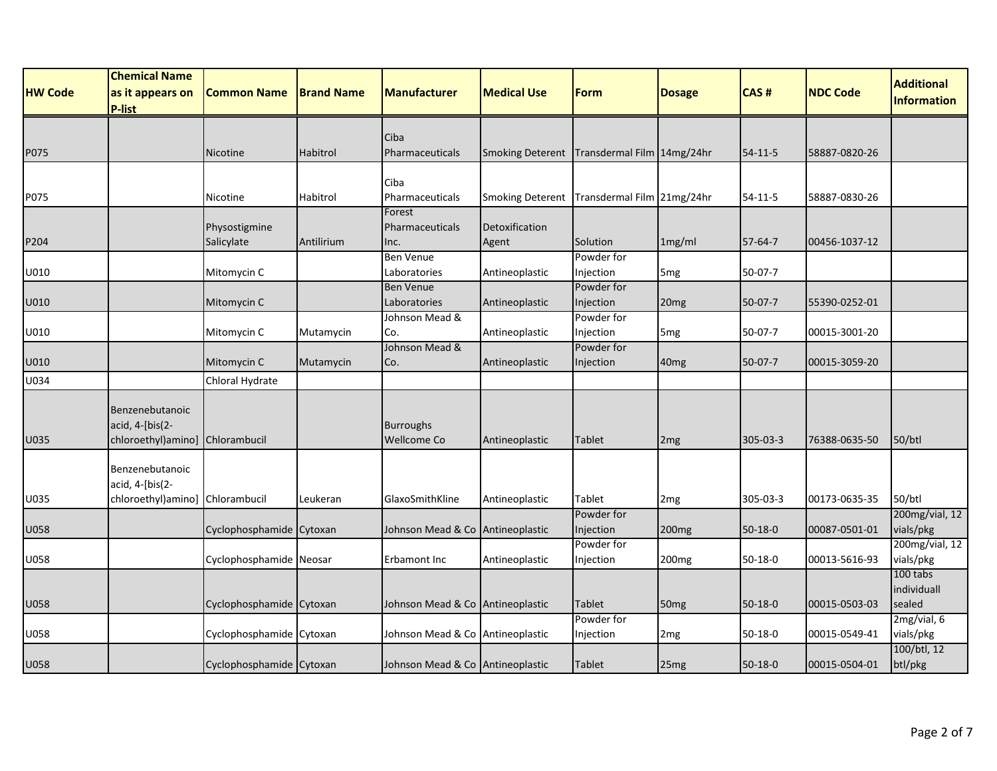| <b>NDC Code</b><br>HW Code<br><b>Common Name</b><br><b>Brand Name</b><br><b>Manufacturer</b><br><b>Medical Use</b><br>Form<br><b>Dosage</b><br>CAS#<br>as it appears on<br><b>Information</b><br>P-list<br>Ciba<br>Transdermal Film 14mg/24hr<br>58887-0820-26<br>P075<br>Nicotine<br>Habitrol<br>Pharmaceuticals<br><b>Smoking Deterent</b><br>54-11-5<br>Ciba<br>Transdermal Film 21mg/24hr<br>Pharmaceuticals<br><b>Smoking Deterent</b><br>58887-0830-26<br>Nicotine<br>Habitrol<br>54-11-5<br>Forest<br>Detoxification<br>Physostigmine<br>Pharmaceuticals<br>Salicylate<br>1mg/ml<br>57-64-7<br>P204<br>Antilirium<br>Agent<br>Solution<br>00456-1037-12<br>Inc.<br><b>Ben Venue</b><br>Powder for<br>U010<br>Mitomycin C<br>Laboratories<br>$50-07-7$<br>Antineoplastic<br>Injection<br>5 <sub>mg</sub><br><b>Ben Venue</b><br>Powder for<br>U010<br>Mitomycin C<br>Laboratories<br>Antineoplastic<br>Injection<br>$50-07-7$<br>55390-0252-01<br>20 <sub>mg</sub><br>Johnson Mead &<br>Powder for<br>U010<br>Injection<br>$50-07-7$<br>00015-3001-20<br>Mitomycin C<br>Mutamycin<br>Co.<br>Antineoplastic<br>5 <sub>mg</sub><br>Johnson Mead &<br>Powder for<br>$50-07-7$<br>U010<br>Mitomycin C<br>Antineoplastic<br>Injection<br>40 <sub>mg</sub><br>00015-3059-20<br>Mutamycin<br>Co.<br>Chloral Hydrate<br>Benzenebutanoic<br>acid, 4-[bis(2-<br><b>Burroughs</b><br>U035<br>chloroethyl)amino]<br>Chlorambucil<br><b>Wellcome Co</b><br>305-03-3<br>$50/b$ tl<br>Antineoplastic<br><b>Tablet</b><br>76388-0635-50<br>2 <sub>mg</sub><br>Benzenebutanoic<br>acid, 4-[bis(2- | <b>Chemical Name</b> |  |  |  |  |                   |
|----------------------------------------------------------------------------------------------------------------------------------------------------------------------------------------------------------------------------------------------------------------------------------------------------------------------------------------------------------------------------------------------------------------------------------------------------------------------------------------------------------------------------------------------------------------------------------------------------------------------------------------------------------------------------------------------------------------------------------------------------------------------------------------------------------------------------------------------------------------------------------------------------------------------------------------------------------------------------------------------------------------------------------------------------------------------------------------------------------------------------------------------------------------------------------------------------------------------------------------------------------------------------------------------------------------------------------------------------------------------------------------------------------------------------------------------------------------------------------------------------------------------------------------------------------------------------------------|----------------------|--|--|--|--|-------------------|
|                                                                                                                                                                                                                                                                                                                                                                                                                                                                                                                                                                                                                                                                                                                                                                                                                                                                                                                                                                                                                                                                                                                                                                                                                                                                                                                                                                                                                                                                                                                                                                                        |                      |  |  |  |  | <b>Additional</b> |
|                                                                                                                                                                                                                                                                                                                                                                                                                                                                                                                                                                                                                                                                                                                                                                                                                                                                                                                                                                                                                                                                                                                                                                                                                                                                                                                                                                                                                                                                                                                                                                                        |                      |  |  |  |  |                   |
| P075<br>U034                                                                                                                                                                                                                                                                                                                                                                                                                                                                                                                                                                                                                                                                                                                                                                                                                                                                                                                                                                                                                                                                                                                                                                                                                                                                                                                                                                                                                                                                                                                                                                           |                      |  |  |  |  |                   |
|                                                                                                                                                                                                                                                                                                                                                                                                                                                                                                                                                                                                                                                                                                                                                                                                                                                                                                                                                                                                                                                                                                                                                                                                                                                                                                                                                                                                                                                                                                                                                                                        |                      |  |  |  |  |                   |
|                                                                                                                                                                                                                                                                                                                                                                                                                                                                                                                                                                                                                                                                                                                                                                                                                                                                                                                                                                                                                                                                                                                                                                                                                                                                                                                                                                                                                                                                                                                                                                                        |                      |  |  |  |  |                   |
|                                                                                                                                                                                                                                                                                                                                                                                                                                                                                                                                                                                                                                                                                                                                                                                                                                                                                                                                                                                                                                                                                                                                                                                                                                                                                                                                                                                                                                                                                                                                                                                        |                      |  |  |  |  |                   |
|                                                                                                                                                                                                                                                                                                                                                                                                                                                                                                                                                                                                                                                                                                                                                                                                                                                                                                                                                                                                                                                                                                                                                                                                                                                                                                                                                                                                                                                                                                                                                                                        |                      |  |  |  |  |                   |
|                                                                                                                                                                                                                                                                                                                                                                                                                                                                                                                                                                                                                                                                                                                                                                                                                                                                                                                                                                                                                                                                                                                                                                                                                                                                                                                                                                                                                                                                                                                                                                                        |                      |  |  |  |  |                   |
|                                                                                                                                                                                                                                                                                                                                                                                                                                                                                                                                                                                                                                                                                                                                                                                                                                                                                                                                                                                                                                                                                                                                                                                                                                                                                                                                                                                                                                                                                                                                                                                        |                      |  |  |  |  |                   |
|                                                                                                                                                                                                                                                                                                                                                                                                                                                                                                                                                                                                                                                                                                                                                                                                                                                                                                                                                                                                                                                                                                                                                                                                                                                                                                                                                                                                                                                                                                                                                                                        |                      |  |  |  |  |                   |
|                                                                                                                                                                                                                                                                                                                                                                                                                                                                                                                                                                                                                                                                                                                                                                                                                                                                                                                                                                                                                                                                                                                                                                                                                                                                                                                                                                                                                                                                                                                                                                                        |                      |  |  |  |  |                   |
|                                                                                                                                                                                                                                                                                                                                                                                                                                                                                                                                                                                                                                                                                                                                                                                                                                                                                                                                                                                                                                                                                                                                                                                                                                                                                                                                                                                                                                                                                                                                                                                        |                      |  |  |  |  |                   |
|                                                                                                                                                                                                                                                                                                                                                                                                                                                                                                                                                                                                                                                                                                                                                                                                                                                                                                                                                                                                                                                                                                                                                                                                                                                                                                                                                                                                                                                                                                                                                                                        |                      |  |  |  |  |                   |
|                                                                                                                                                                                                                                                                                                                                                                                                                                                                                                                                                                                                                                                                                                                                                                                                                                                                                                                                                                                                                                                                                                                                                                                                                                                                                                                                                                                                                                                                                                                                                                                        |                      |  |  |  |  |                   |
|                                                                                                                                                                                                                                                                                                                                                                                                                                                                                                                                                                                                                                                                                                                                                                                                                                                                                                                                                                                                                                                                                                                                                                                                                                                                                                                                                                                                                                                                                                                                                                                        |                      |  |  |  |  |                   |
|                                                                                                                                                                                                                                                                                                                                                                                                                                                                                                                                                                                                                                                                                                                                                                                                                                                                                                                                                                                                                                                                                                                                                                                                                                                                                                                                                                                                                                                                                                                                                                                        |                      |  |  |  |  |                   |
|                                                                                                                                                                                                                                                                                                                                                                                                                                                                                                                                                                                                                                                                                                                                                                                                                                                                                                                                                                                                                                                                                                                                                                                                                                                                                                                                                                                                                                                                                                                                                                                        |                      |  |  |  |  |                   |
|                                                                                                                                                                                                                                                                                                                                                                                                                                                                                                                                                                                                                                                                                                                                                                                                                                                                                                                                                                                                                                                                                                                                                                                                                                                                                                                                                                                                                                                                                                                                                                                        |                      |  |  |  |  |                   |
|                                                                                                                                                                                                                                                                                                                                                                                                                                                                                                                                                                                                                                                                                                                                                                                                                                                                                                                                                                                                                                                                                                                                                                                                                                                                                                                                                                                                                                                                                                                                                                                        |                      |  |  |  |  |                   |
|                                                                                                                                                                                                                                                                                                                                                                                                                                                                                                                                                                                                                                                                                                                                                                                                                                                                                                                                                                                                                                                                                                                                                                                                                                                                                                                                                                                                                                                                                                                                                                                        |                      |  |  |  |  |                   |
|                                                                                                                                                                                                                                                                                                                                                                                                                                                                                                                                                                                                                                                                                                                                                                                                                                                                                                                                                                                                                                                                                                                                                                                                                                                                                                                                                                                                                                                                                                                                                                                        |                      |  |  |  |  |                   |
|                                                                                                                                                                                                                                                                                                                                                                                                                                                                                                                                                                                                                                                                                                                                                                                                                                                                                                                                                                                                                                                                                                                                                                                                                                                                                                                                                                                                                                                                                                                                                                                        |                      |  |  |  |  |                   |
|                                                                                                                                                                                                                                                                                                                                                                                                                                                                                                                                                                                                                                                                                                                                                                                                                                                                                                                                                                                                                                                                                                                                                                                                                                                                                                                                                                                                                                                                                                                                                                                        |                      |  |  |  |  |                   |
| U035<br>chloroethyl)amino] Chlorambucil<br>50/btl<br>Leukeran<br>GlaxoSmithKline<br>Tablet<br>305-03-3<br>00173-0635-35<br>Antineoplastic<br>2 <sub>mg</sub>                                                                                                                                                                                                                                                                                                                                                                                                                                                                                                                                                                                                                                                                                                                                                                                                                                                                                                                                                                                                                                                                                                                                                                                                                                                                                                                                                                                                                           |                      |  |  |  |  |                   |
| Powder for<br>vials/pkg<br>Cyclophosphamide Cytoxan<br>Johnson Mead & Co Antineoplastic<br>Injection<br>U058<br>200 <sub>mg</sub><br>$50-18-0$<br>00087-0501-01                                                                                                                                                                                                                                                                                                                                                                                                                                                                                                                                                                                                                                                                                                                                                                                                                                                                                                                                                                                                                                                                                                                                                                                                                                                                                                                                                                                                                        |                      |  |  |  |  | 200mg/vial, 12    |
| Powder for                                                                                                                                                                                                                                                                                                                                                                                                                                                                                                                                                                                                                                                                                                                                                                                                                                                                                                                                                                                                                                                                                                                                                                                                                                                                                                                                                                                                                                                                                                                                                                             |                      |  |  |  |  | 200mg/vial, 12    |
| vials/pkg<br>U058<br>Cyclophosphamide Neosar<br>200 <sub>mg</sub><br>$50 - 18 - 0$<br>00013-5616-93<br>Erbamont Inc<br>Antineoplastic<br>Injection                                                                                                                                                                                                                                                                                                                                                                                                                                                                                                                                                                                                                                                                                                                                                                                                                                                                                                                                                                                                                                                                                                                                                                                                                                                                                                                                                                                                                                     |                      |  |  |  |  |                   |
| 100 tabs                                                                                                                                                                                                                                                                                                                                                                                                                                                                                                                                                                                                                                                                                                                                                                                                                                                                                                                                                                                                                                                                                                                                                                                                                                                                                                                                                                                                                                                                                                                                                                               |                      |  |  |  |  |                   |
| individuall                                                                                                                                                                                                                                                                                                                                                                                                                                                                                                                                                                                                                                                                                                                                                                                                                                                                                                                                                                                                                                                                                                                                                                                                                                                                                                                                                                                                                                                                                                                                                                            |                      |  |  |  |  |                   |
| sealed<br>U058<br>Johnson Mead & Co Antineoplastic<br><b>Tablet</b><br>$50 - 18 - 0$<br>00015-0503-03<br>Cyclophosphamide Cytoxan<br>50 <sub>mg</sub>                                                                                                                                                                                                                                                                                                                                                                                                                                                                                                                                                                                                                                                                                                                                                                                                                                                                                                                                                                                                                                                                                                                                                                                                                                                                                                                                                                                                                                  |                      |  |  |  |  |                   |
| Powder for<br>2mg/vial, 6                                                                                                                                                                                                                                                                                                                                                                                                                                                                                                                                                                                                                                                                                                                                                                                                                                                                                                                                                                                                                                                                                                                                                                                                                                                                                                                                                                                                                                                                                                                                                              |                      |  |  |  |  |                   |
| vials/pkg<br>U058<br>Johnson Mead & Co Antineoplastic<br>$50 - 18 - 0$<br>00015-0549-41<br>Cyclophosphamide Cytoxan<br>Injection<br>2 <sub>mg</sub>                                                                                                                                                                                                                                                                                                                                                                                                                                                                                                                                                                                                                                                                                                                                                                                                                                                                                                                                                                                                                                                                                                                                                                                                                                                                                                                                                                                                                                    |                      |  |  |  |  |                   |
| 100/btl, 12<br>00015-0504-01<br>btl/pkg<br>U058<br>Cyclophosphamide Cytoxan<br>Johnson Mead & Co Antineoplastic<br><b>Tablet</b><br>25mg<br>$50 - 18 - 0$                                                                                                                                                                                                                                                                                                                                                                                                                                                                                                                                                                                                                                                                                                                                                                                                                                                                                                                                                                                                                                                                                                                                                                                                                                                                                                                                                                                                                              |                      |  |  |  |  |                   |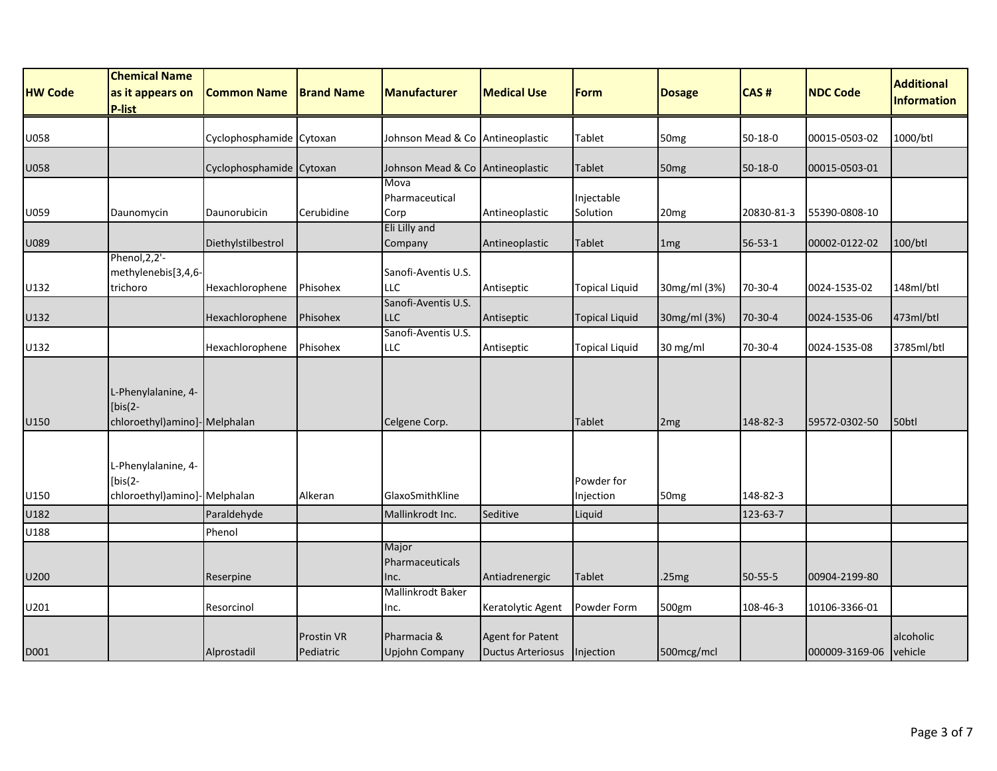|                | <b>Chemical Name</b>                                              |                          |                                |                                                       |                                                     |                         |                  |               |                 | <b>Additional</b>    |
|----------------|-------------------------------------------------------------------|--------------------------|--------------------------------|-------------------------------------------------------|-----------------------------------------------------|-------------------------|------------------|---------------|-----------------|----------------------|
| <b>HW Code</b> | as it appears on<br>P-list                                        | <b>Common Name</b>       | <b>Brand Name</b>              | <b>Manufacturer</b>                                   | <b>Medical Use</b>                                  | Form                    | <b>Dosage</b>    | CAS#          | <b>NDC Code</b> | <b>Information</b>   |
| U058           |                                                                   | Cyclophosphamide Cytoxan |                                | Johnson Mead & Co Antineoplastic                      |                                                     | Tablet                  | 50 <sub>mg</sub> | $50 - 18 - 0$ | 00015-0503-02   | 1000/btl             |
| U058           |                                                                   | Cyclophosphamide Cytoxan |                                | Johnson Mead & Co Antineoplastic                      |                                                     | Tablet                  | 50 <sub>mg</sub> | 50-18-0       | 00015-0503-01   |                      |
| U059           | Daunomycin                                                        | Daunorubicin             | Cerubidine                     | <b>Mova</b><br>Pharmaceutical<br>Corp                 | Antineoplastic                                      | Injectable<br>Solution  | 20 <sub>mg</sub> | 20830-81-3    | 55390-0808-10   |                      |
| U089           |                                                                   | Diethylstilbestrol       |                                | Eli Lilly and<br>Company                              | Antineoplastic                                      | Tablet                  | 1 <sub>mg</sub>  | 56-53-1       | 00002-0122-02   | 100/btl              |
| U132           | Phenol, 2, 2'-<br>methylenebis[3,4,6-<br>trichoro                 | Hexachlorophene          | Phisohex                       | Sanofi-Aventis U.S.<br>LLC                            | Antiseptic                                          | <b>Topical Liquid</b>   | 30mg/ml (3%)     | 70-30-4       | 0024-1535-02    | 148ml/btl            |
| U132           |                                                                   | Hexachlorophene          | Phisohex                       | Sanofi-Aventis U.S.<br>LLC                            | Antiseptic                                          | <b>Topical Liquid</b>   | 30mg/ml (3%)     | 70-30-4       | 0024-1535-06    | 473ml/btl            |
| U132           |                                                                   | Hexachlorophene          | Phisohex                       | Sanofi-Aventis U.S.<br>LLC                            | Antiseptic                                          | <b>Topical Liquid</b>   | 30 mg/ml         | 70-30-4       | 0024-1535-08    | 3785ml/btl           |
| U150           | L-Phenylalanine, 4-<br>$[bis(2 -$<br>chloroethyl)amino]-Melphalan |                          |                                | Celgene Corp.                                         |                                                     | <b>Tablet</b>           | 2 <sub>mg</sub>  | 148-82-3      | 59572-0302-50   | 50 <sub>btl</sub>    |
| U150           | L-Phenylalanine, 4-<br>$[bis(2 -$<br>chloroethyl)amino]-Melphalan |                          | Alkeran                        | GlaxoSmithKline                                       |                                                     | Powder for<br>Injection | 50 <sub>mg</sub> | 148-82-3      |                 |                      |
| U182           |                                                                   | Paraldehyde              |                                | Mallinkrodt Inc.                                      | Seditive                                            | Liquid                  |                  | 123-63-7      |                 |                      |
| U188           |                                                                   | Phenol                   |                                |                                                       |                                                     |                         |                  |               |                 |                      |
| U200           |                                                                   | Reserpine                |                                | Major<br>Pharmaceuticals<br>Inc.<br>Mallinkrodt Baker | Antiadrenergic                                      | Tablet                  | .25mg            | 50-55-5       | 00904-2199-80   |                      |
| U201           |                                                                   | Resorcinol               |                                | Inc.                                                  | Keratolytic Agent                                   | Powder Form             | 500gm            | 108-46-3      | 10106-3366-01   |                      |
| D001           |                                                                   | Alprostadil              | <b>Prostin VR</b><br>Pediatric | Pharmacia &<br><b>Upjohn Company</b>                  | <b>Agent for Patent</b><br><b>Ductus Arteriosus</b> | Injection               | 500mcg/mcl       |               | 000009-3169-06  | alcoholic<br>vehicle |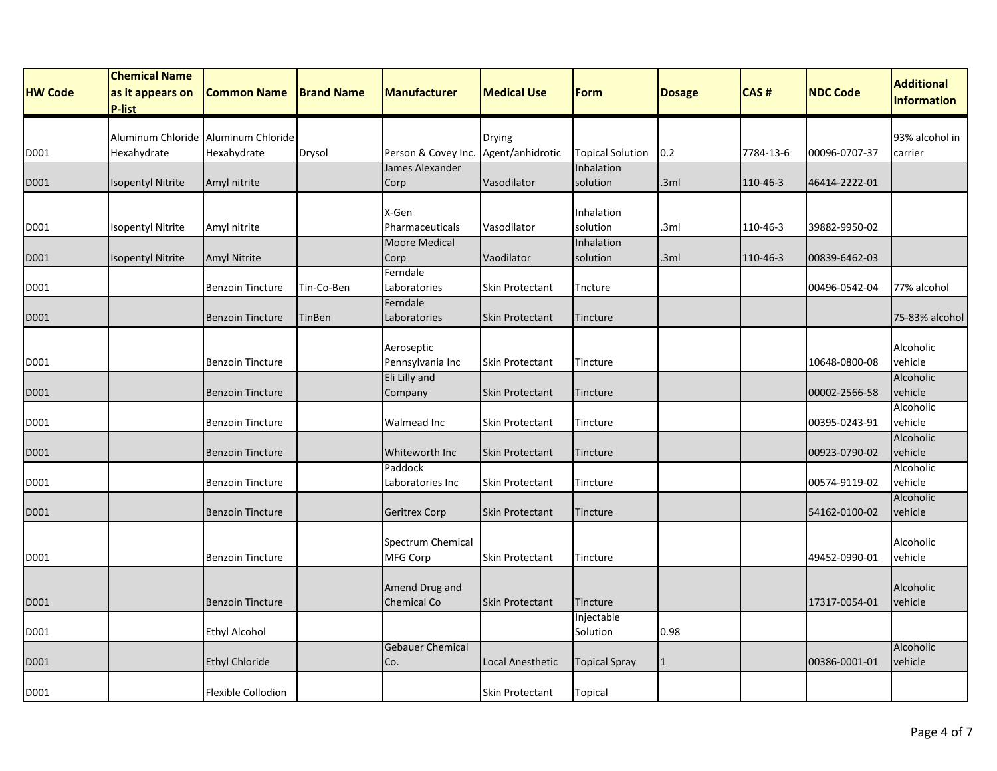|                | <b>Chemical Name</b>              |                         |                   |                                   |                        |                         |               |           |                 | <b>Additional</b>    |
|----------------|-----------------------------------|-------------------------|-------------------|-----------------------------------|------------------------|-------------------------|---------------|-----------|-----------------|----------------------|
| <b>HW Code</b> | as it appears on<br><b>P-list</b> | <b>Common Name</b>      | <b>Brand Name</b> | <b>Manufacturer</b>               | <b>Medical Use</b>     | Form                    | <b>Dosage</b> | CAS#      | <b>NDC Code</b> | <b>Information</b>   |
|                | Aluminum Chloride                 | Aluminum Chloride       |                   |                                   | Drying                 |                         |               |           |                 | 93% alcohol in       |
| D001           | Hexahydrate                       | Hexahydrate             | Drysol            | Person & Covey Inc.               | Agent/anhidrotic       | <b>Topical Solution</b> | 0.2           | 7784-13-6 | 00096-0707-37   | carrier              |
|                |                                   |                         |                   | James Alexander                   |                        | Inhalation              |               |           |                 |                      |
| D001           | <b>Isopentyl Nitrite</b>          | Amyl nitrite            |                   | Corp                              | Vasodilator            | solution                | .3ml          | 110-46-3  | 46414-2222-01   |                      |
|                |                                   |                         |                   | X-Gen                             |                        | Inhalation              |               |           |                 |                      |
| D001           | Isopentyl Nitrite                 | Amyl nitrite            |                   | Pharmaceuticals                   | Vasodilator            | solution                | .3ml          | 110-46-3  | 39882-9950-02   |                      |
|                |                                   |                         |                   | <b>Moore Medical</b>              |                        | Inhalation              |               |           |                 |                      |
| D001           | <b>Isopentyl Nitrite</b>          | <b>Amyl Nitrite</b>     |                   | Corp                              | Vaodilator             | solution                | .3ml          | 110-46-3  | 00839-6462-03   |                      |
|                |                                   |                         |                   | Ferndale                          |                        |                         |               |           |                 |                      |
| D001           |                                   | <b>Benzoin Tincture</b> | Tin-Co-Ben        | Laboratories<br>Ferndale          | <b>Skin Protectant</b> | Tncture                 |               |           | 00496-0542-04   | 77% alcohol          |
| D001           |                                   | <b>Benzoin Tincture</b> | TinBen            | Laboratories                      | <b>Skin Protectant</b> | Tincture                |               |           |                 | 75-83% alcohol       |
|                |                                   |                         |                   |                                   |                        |                         |               |           |                 |                      |
|                |                                   |                         |                   | Aeroseptic                        |                        |                         |               |           |                 | Alcoholic<br>vehicle |
| D001           |                                   | <b>Benzoin Tincture</b> |                   | Pennsylvania Inc<br>Eli Lilly and | <b>Skin Protectant</b> | Tincture                |               |           | 10648-0800-08   | Alcoholic            |
| D001           |                                   | <b>Benzoin Tincture</b> |                   | Company                           | <b>Skin Protectant</b> | Tincture                |               |           | 00002-2566-58   | vehicle              |
|                |                                   |                         |                   |                                   |                        |                         |               |           |                 | Alcoholic            |
| D001           |                                   | <b>Benzoin Tincture</b> |                   | Walmead Inc                       | Skin Protectant        | Tincture                |               |           | 00395-0243-91   | vehicle              |
| D001           |                                   | <b>Benzoin Tincture</b> |                   | Whiteworth Inc                    | <b>Skin Protectant</b> | Tincture                |               |           | 00923-0790-02   | Alcoholic<br>vehicle |
|                |                                   |                         |                   | Paddock                           |                        |                         |               |           |                 | Alcoholic            |
| D001           |                                   | <b>Benzoin Tincture</b> |                   | Laboratories Inc                  | Skin Protectant        | Tincture                |               |           | 00574-9119-02   | vehicle              |
|                |                                   |                         |                   |                                   |                        |                         |               |           |                 | Alcoholic            |
| D001           |                                   | <b>Benzoin Tincture</b> |                   | <b>Geritrex Corp</b>              | <b>Skin Protectant</b> | Tincture                |               |           | 54162-0100-02   | vehicle              |
|                |                                   |                         |                   | Spectrum Chemical                 |                        |                         |               |           |                 | Alcoholic            |
| D001           |                                   | <b>Benzoin Tincture</b> |                   | MFG Corp                          | <b>Skin Protectant</b> | Tincture                |               |           | 49452-0990-01   | vehicle              |
|                |                                   |                         |                   |                                   |                        |                         |               |           |                 |                      |
|                |                                   |                         |                   | Amend Drug and                    |                        |                         |               |           |                 | Alcoholic            |
| D001           |                                   | <b>Benzoin Tincture</b> |                   | <b>Chemical Co</b>                | <b>Skin Protectant</b> | Tincture                |               |           | 17317-0054-01   | vehicle              |
| D001           |                                   | <b>Ethyl Alcohol</b>    |                   |                                   |                        | Injectable<br>Solution  | 0.98          |           |                 |                      |
|                |                                   |                         |                   | <b>Gebauer Chemical</b>           |                        |                         |               |           |                 | Alcoholic            |
| D001           |                                   | <b>Ethyl Chloride</b>   |                   | Co.                               | Local Anesthetic       | <b>Topical Spray</b>    |               |           | 00386-0001-01   | vehicle              |
| D001           |                                   | Flexible Collodion      |                   |                                   | Skin Protectant        | Topical                 |               |           |                 |                      |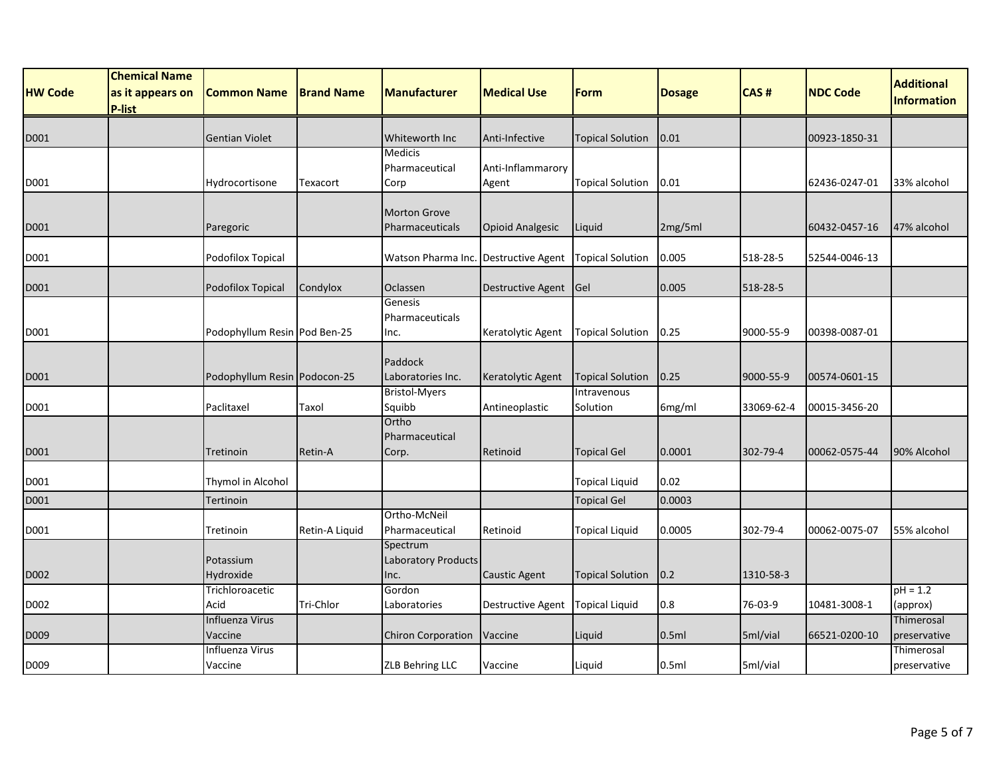| <b>HW Code</b> | <b>Chemical Name</b><br>as it appears on | <b>Common Name</b>           | <b>Brand Name</b> | <b>Manufacturer</b>                            | <b>Medical Use</b>         | Form                    | <b>Dosage</b> | CAS#       | <b>NDC Code</b> | <b>Additional</b>          |
|----------------|------------------------------------------|------------------------------|-------------------|------------------------------------------------|----------------------------|-------------------------|---------------|------------|-----------------|----------------------------|
|                | <b>P-list</b>                            |                              |                   |                                                |                            |                         |               |            |                 | <b>Information</b>         |
| D001           |                                          | <b>Gentian Violet</b>        |                   | Whiteworth Inc                                 | Anti-Infective             | <b>Topical Solution</b> | 0.01          |            | 00923-1850-31   |                            |
| D001           |                                          | Hydrocortisone               | Texacort          | <b>Medicis</b><br>Pharmaceutical<br>Corp       | Anti-Inflammarory<br>Agent | <b>Topical Solution</b> | 0.01          |            | 62436-0247-01   | 33% alcohol                |
| D001           |                                          | Paregoric                    |                   | <b>Morton Grove</b><br>Pharmaceuticals         | <b>Opioid Analgesic</b>    | Liquid                  | 2mg/5ml       |            | 60432-0457-16   | 47% alcohol                |
| D001           |                                          | Podofilox Topical            |                   | Watson Pharma Inc. Destructive Agent           |                            | <b>Topical Solution</b> | 0.005         | 518-28-5   | 52544-0046-13   |                            |
| D001           |                                          | Podofilox Topical            | Condylox          | Oclassen                                       | <b>Destructive Agent</b>   | <b>Gel</b>              | 0.005         | 518-28-5   |                 |                            |
| D001           |                                          | Podophyllum Resin Pod Ben-25 |                   | Genesis<br>Pharmaceuticals<br>Inc.             | Keratolytic Agent          | <b>Topical Solution</b> | 0.25          | 9000-55-9  | 00398-0087-01   |                            |
| D001           |                                          | Podophyllum Resin Podocon-25 |                   | Paddock<br>Laboratories Inc.                   | Keratolytic Agent          | <b>Topical Solution</b> | 0.25          | 9000-55-9  | 00574-0601-15   |                            |
| D001           |                                          | Paclitaxel                   | Taxol             | <b>Bristol-Myers</b><br>Squibb                 | Antineoplastic             | Intravenous<br>Solution | 6mg/ml        | 33069-62-4 | 00015-3456-20   |                            |
| D001           |                                          | Tretinoin                    | Retin-A           | Ortho<br>Pharmaceutical<br>Corp.               | Retinoid                   | <b>Topical Gel</b>      | 0.0001        | 302-79-4   | 00062-0575-44   | 90% Alcohol                |
| D001           |                                          | Thymol in Alcohol            |                   |                                                |                            | <b>Topical Liquid</b>   | 0.02          |            |                 |                            |
| D001           |                                          | Tertinoin                    |                   |                                                |                            | <b>Topical Gel</b>      | 0.0003        |            |                 |                            |
| D001           |                                          | Tretinoin                    | Retin-A Liquid    | Ortho-McNeil<br>Pharmaceutical                 | Retinoid                   | <b>Topical Liquid</b>   | 0.0005        | 302-79-4   | 00062-0075-07   | 55% alcohol                |
| D002           |                                          | Potassium<br>Hydroxide       |                   | Spectrum<br><b>Laboratory Products</b><br>Inc. | <b>Caustic Agent</b>       | <b>Topical Solution</b> | 0.2           | 1310-58-3  |                 |                            |
| D002           |                                          | Trichloroacetic<br>Acid      | Tri-Chlor         | Gordon<br>Laboratories                         | <b>Destructive Agent</b>   | <b>Topical Liquid</b>   | 0.8           | 76-03-9    | 10481-3008-1    | $pH = 1.2$<br>(approx)     |
| D009           |                                          | Influenza Virus<br>Vaccine   |                   | Chiron Corporation                             | Vaccine                    | Liquid                  | 0.5ml         | 5ml/vial   | 66521-0200-10   | Thimerosal<br>preservative |
| D009           |                                          | Influenza Virus<br>Vaccine   |                   | ZLB Behring LLC                                | Vaccine                    | Liquid                  | 0.5ml         | 5ml/vial   |                 | Thimerosal<br>preservative |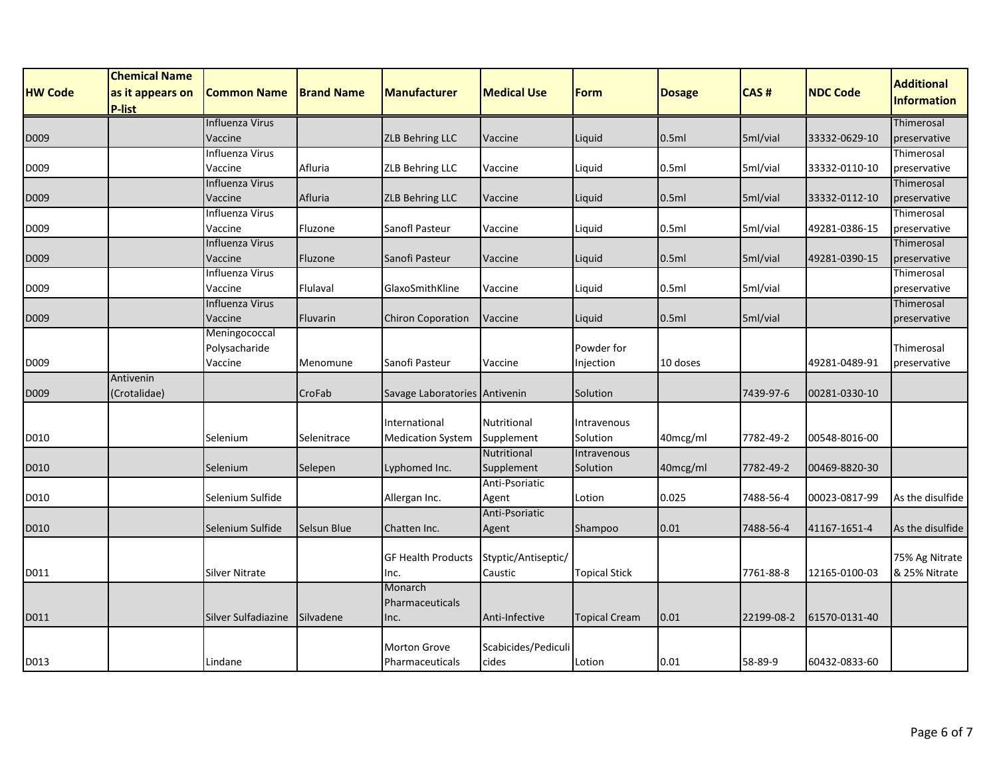|                | <b>Chemical Name</b> |                            |                   |                                   |                     |                      |               |            |                 | <b>Additional</b>          |
|----------------|----------------------|----------------------------|-------------------|-----------------------------------|---------------------|----------------------|---------------|------------|-----------------|----------------------------|
| <b>HW Code</b> | as it appears on     | <b>Common Name</b>         | <b>Brand Name</b> | <b>Manufacturer</b>               | <b>Medical Use</b>  | Form                 | <b>Dosage</b> | CAS#       | <b>NDC Code</b> | <b>Information</b>         |
|                | <b>P-list</b>        |                            |                   |                                   |                     |                      |               |            |                 |                            |
|                |                      | Influenza Virus            |                   |                                   |                     |                      |               |            |                 | Thimerosal                 |
| D009           |                      | Vaccine                    |                   | <b>ZLB Behring LLC</b>            | Vaccine             | Liquid               | 0.5ml         | 5ml/vial   | 33332-0629-10   | preservative               |
|                |                      | Influenza Virus            |                   |                                   |                     |                      |               |            |                 | Thimerosal                 |
| D009           |                      | Vaccine                    | Afluria           | ZLB Behring LLC                   | Vaccine             | Liquid               | 0.5ml         | 5ml/vial   | 33332-0110-10   | preservative               |
|                |                      | Influenza Virus            |                   |                                   |                     |                      |               |            |                 | Thimerosal                 |
| D009           |                      | Vaccine                    | Afluria           | ZLB Behring LLC                   | Vaccine             | Liquid               | 0.5ml         | 5ml/vial   | 33332-0112-10   | preservative               |
| D009           |                      | Influenza Virus<br>Vaccine | Fluzone           | Sanofl Pasteur                    | Vaccine             |                      | 0.5ml         | 5ml/vial   | 49281-0386-15   | Thimerosal<br>preservative |
|                |                      | <b>Influenza Virus</b>     |                   |                                   |                     | Liquid               |               |            |                 | Thimerosal                 |
| D009           |                      | Vaccine                    | Fluzone           | Sanofi Pasteur                    | Vaccine             | Liquid               | 0.5ml         | 5ml/vial   | 49281-0390-15   | preservative               |
|                |                      | Influenza Virus            |                   |                                   |                     |                      |               |            |                 | Thimerosal                 |
| D009           |                      | Vaccine                    | Flulaval          | GlaxoSmithKline                   | Vaccine             | Liquid               | 0.5ml         | 5ml/vial   |                 | preservative               |
|                |                      | Influenza Virus            |                   |                                   |                     |                      |               |            |                 | Thimerosal                 |
| D009           |                      | Vaccine                    | Fluvarin          | <b>Chiron Coporation</b>          | Vaccine             | Liquid               | 0.5ml         | 5ml/vial   |                 | preservative               |
|                |                      | Meningococcal              |                   |                                   |                     |                      |               |            |                 |                            |
|                |                      | Polysacharide              |                   |                                   |                     | Powder for           |               |            |                 | Thimerosal                 |
| D009           |                      | Vaccine                    | Menomune          | Sanofi Pasteur                    | Vaccine             | Injection            | 10 doses      |            | 49281-0489-91   | preservative               |
|                | Antivenin            |                            |                   |                                   |                     |                      |               |            |                 |                            |
| D009           | (Crotalidae)         |                            | CroFab            | Savage Laboratories Antivenin     |                     | Solution             |               | 7439-97-6  | 00281-0330-10   |                            |
|                |                      |                            |                   |                                   |                     |                      |               |            |                 |                            |
|                |                      |                            |                   | International                     | Nutritional         | Intravenous          |               |            |                 |                            |
| D010           |                      | Selenium                   | Selenitrace       | <b>Medication System</b>          | Supplement          | Solution             | 40mcg/ml      | 7782-49-2  | 00548-8016-00   |                            |
|                |                      |                            |                   |                                   | Nutritional         | Intravenous          |               |            |                 |                            |
| D010           |                      | Selenium                   | Selepen           | Lyphomed Inc.                     | Supplement          | Solution             | 40mcg/ml      | 7782-49-2  | 00469-8820-30   |                            |
|                |                      |                            |                   |                                   | Anti-Psoriatic      |                      |               |            |                 |                            |
| D010           |                      | Selenium Sulfide           |                   | Allergan Inc.                     | Agent               | Lotion               | 0.025         | 7488-56-4  | 00023-0817-99   | As the disulfide           |
|                |                      |                            |                   |                                   | Anti-Psoriatic      |                      |               |            |                 |                            |
| D010           |                      | Selenium Sulfide           | Selsun Blue       | Chatten Inc.                      | Agent               | <b>Shampoo</b>       | 0.01          | 7488-56-4  | 41167-1651-4    | As the disulfide           |
|                |                      |                            |                   |                                   | Styptic/Antiseptic/ |                      |               |            |                 | 75% Ag Nitrate             |
| D011           |                      | <b>Silver Nitrate</b>      |                   | <b>GF Health Products</b><br>Inc. | Caustic             | <b>Topical Stick</b> |               | 7761-88-8  | 12165-0100-03   | & 25% Nitrate              |
|                |                      |                            |                   | Monarch                           |                     |                      |               |            |                 |                            |
|                |                      |                            |                   | Pharmaceuticals                   |                     |                      |               |            |                 |                            |
| D011           |                      | Silver Sulfadiazine        | Silvadene         | Inc.                              | Anti-Infective      | <b>Topical Cream</b> | 0.01          | 22199-08-2 | 61570-0131-40   |                            |
|                |                      |                            |                   |                                   |                     |                      |               |            |                 |                            |
|                |                      |                            |                   | <b>Morton Grove</b>               | Scabicides/Pediculi |                      |               |            |                 |                            |
| D013           |                      | Lindane                    |                   | Pharmaceuticals                   | cides               | Lotion               | 0.01          | 58-89-9    | 60432-0833-60   |                            |